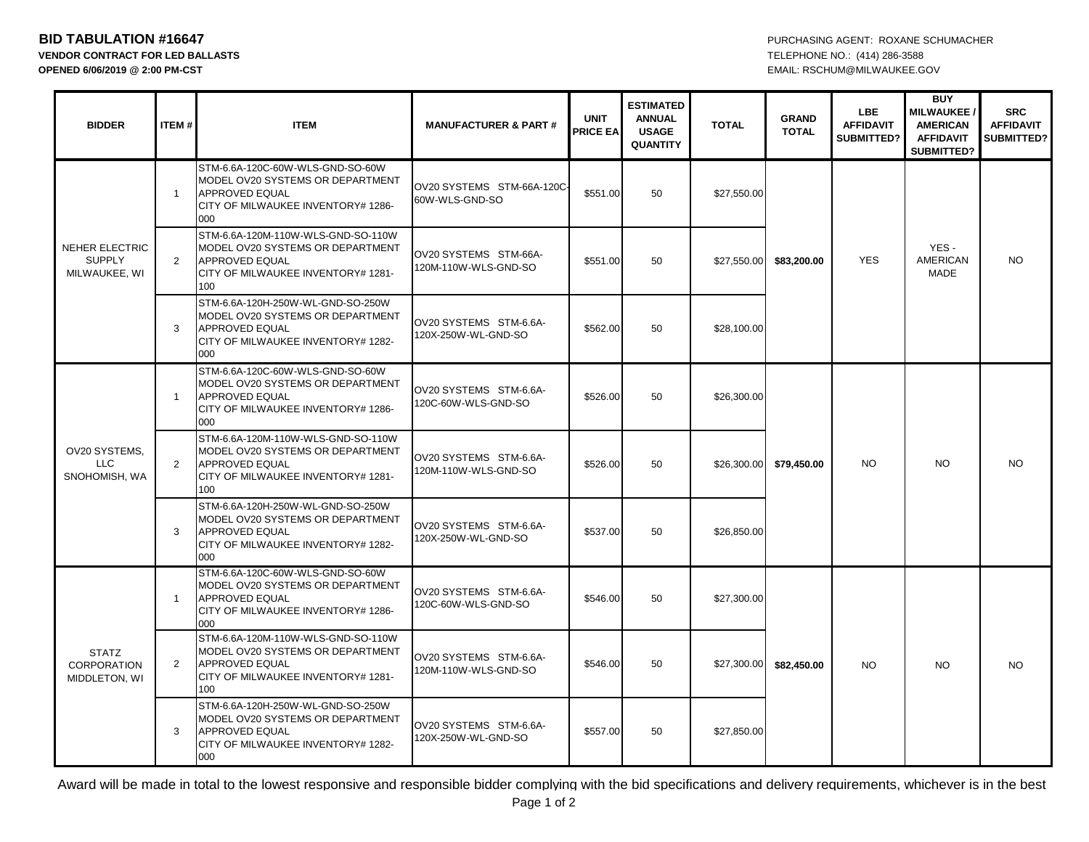**VENDOR CONTRACT FOR LED BALLASTS** TELEPHONE NO.: (414) 286-3588 **OPENED 6/06/2019 @ 2:00 PM-CST** EMAIL: RSCHUM@MILWAUKEE.GOV

**BID TABULATION #16647 PURCHASING AGENT: ROXANE SCHUMACHER** 

| <b>BIDDER</b>                                           | ITEM#        | <b>ITEM</b>                                                                                                                                  | <b>MANUFACTURER &amp; PART#</b>                | <b>UNIT</b><br><b>PRICE EA</b> | <b>ESTIMATED</b><br><b>ANNUAL</b><br><b>USAGE</b><br><b>QUANTITY</b> | <b>TOTAL</b> | <b>GRAND</b><br><b>TOTAL</b> | LBE<br><b>AFFIDAVIT</b><br>SUBMITTED? | <b>BUY</b><br><b>MILWAUKEE</b><br><b>AMERICAN</b><br><b>AFFIDAVIT</b><br>SUBMITTED? | <b>SRC</b><br><b>AFFIDAVIT</b><br>SUBMITTED? |
|---------------------------------------------------------|--------------|----------------------------------------------------------------------------------------------------------------------------------------------|------------------------------------------------|--------------------------------|----------------------------------------------------------------------|--------------|------------------------------|---------------------------------------|-------------------------------------------------------------------------------------|----------------------------------------------|
| <b>NEHER ELECTRIC</b><br><b>SUPPLY</b><br>MILWAUKEE, WI | $\mathbf{1}$ | STM-6.6A-120C-60W-WLS-GND-SO-60W<br>MODEL OV20 SYSTEMS OR DEPARTMENT<br><b>APPROVED EQUAL</b><br>CITY OF MILWAUKEE INVENTORY# 1286-<br>000   | OV20 SYSTEMS STM-66A-120C-<br>60W-WLS-GND-SO   | \$551.00                       | 50                                                                   | \$27,550.00  | \$83,200.00                  | <b>YES</b>                            | YES-<br><b>AMERICAN</b><br><b>MADE</b>                                              | NO.                                          |
|                                                         | 2            | STM-6.6A-120M-110W-WLS-GND-SO-110W<br>MODEL OV20 SYSTEMS OR DEPARTMENT<br><b>APPROVED EQUAL</b><br>CITY OF MILWAUKEE INVENTORY# 1281-<br>100 | OV20 SYSTEMS STM-66A-<br>120M-110W-WLS-GND-SO  | \$551.00                       | 50                                                                   | \$27,550.00  |                              |                                       |                                                                                     |                                              |
|                                                         | 3            | STM-6.6A-120H-250W-WL-GND-SO-250W<br>MODEL OV20 SYSTEMS OR DEPARTMENT<br><b>APPROVED EQUAL</b><br>CITY OF MILWAUKEE INVENTORY# 1282-<br>000  | OV20 SYSTEMS STM-6.6A-<br>120X-250W-WL-GND-SO  | \$562.00                       | 50                                                                   | \$28,100.00  |                              |                                       |                                                                                     |                                              |
| OV20 SYSTEMS,<br><b>LLC</b><br>SNOHOMISH, WA            | $\mathbf{1}$ | STM-6.6A-120C-60W-WLS-GND-SO-60W<br>MODEL OV20 SYSTEMS OR DEPARTMENT<br><b>APPROVED EQUAL</b><br>CITY OF MILWAUKEE INVENTORY# 1286-<br>000   | OV20 SYSTEMS STM-6.6A-<br>120C-60W-WLS-GND-SO  | \$526.00                       | 50                                                                   | \$26,300.00  | \$79,450.00                  | <b>NO</b>                             | NO.                                                                                 | <b>NO</b>                                    |
|                                                         | 2            | STM-6.6A-120M-110W-WLS-GND-SO-110W<br>MODEL OV20 SYSTEMS OR DEPARTMENT<br><b>APPROVED EQUAL</b><br>CITY OF MILWAUKEE INVENTORY# 1281-<br>100 | OV20 SYSTEMS STM-6.6A-<br>120M-110W-WLS-GND-SO | \$526.00                       | 50                                                                   | \$26,300.00  |                              |                                       |                                                                                     |                                              |
|                                                         | 3            | STM-6.6A-120H-250W-WL-GND-SO-250W<br>MODEL OV20 SYSTEMS OR DEPARTMENT<br><b>APPROVED EQUAL</b><br>CITY OF MILWAUKEE INVENTORY# 1282-<br>000  | OV20 SYSTEMS STM-6.6A-<br>120X-250W-WL-GND-SO  | \$537.00                       | 50                                                                   | \$26,850.00  |                              |                                       |                                                                                     |                                              |
| <b>STATZ</b><br><b>CORPORATION</b><br>MIDDLETON, WI     | $\mathbf{1}$ | STM-6.6A-120C-60W-WLS-GND-SO-60W<br>MODEL OV20 SYSTEMS OR DEPARTMENT<br><b>APPROVED EQUAL</b><br>CITY OF MILWAUKEE INVENTORY# 1286-<br>000   | OV20 SYSTEMS STM-6.6A-<br>120C-60W-WLS-GND-SO  | \$546.00                       | 50                                                                   | \$27,300.00  | \$82,450.00<br><b>NO</b>     |                                       | <b>NO</b>                                                                           | <b>NO</b>                                    |
|                                                         | 2            | STM-6.6A-120M-110W-WLS-GND-SO-110W<br>MODEL OV20 SYSTEMS OR DEPARTMENT<br><b>APPROVED EQUAL</b><br>CITY OF MILWAUKEE INVENTORY# 1281-<br>100 | OV20 SYSTEMS STM-6.6A-<br>120M-110W-WLS-GND-SO | \$546.00                       | 50                                                                   | \$27,300.00  |                              |                                       |                                                                                     |                                              |
|                                                         | 3            | STM-6.6A-120H-250W-WL-GND-SO-250W<br>MODEL OV20 SYSTEMS OR DEPARTMENT<br><b>APPROVED EQUAL</b><br>CITY OF MILWAUKEE INVENTORY# 1282-<br>000  | OV20 SYSTEMS STM-6.6A-<br>120X-250W-WL-GND-SO  | \$557.00                       | 50                                                                   | \$27,850.00  |                              |                                       |                                                                                     |                                              |

Award will be made in total to the lowest responsive and responsible bidder complying with the bid specifications and delivery requirements, whichever is in the best